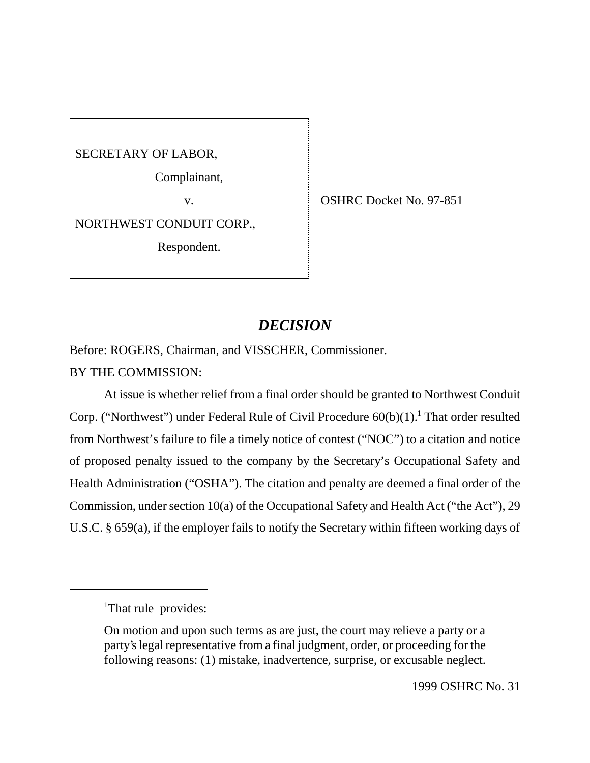SECRETARY OF LABOR,

Complainant,

v. SHRC Docket No. 97-851

NORTHWEST CONDUIT CORP.,

Respondent.

# *DECISION*

Before: ROGERS, Chairman, and VISSCHER, Commissioner.

# BY THE COMMISSION:

At issue is whether relief from a final order should be granted to Northwest Conduit Corp. ("Northwest") under Federal Rule of Civil Procedure  $60(b)(1)$ .<sup>1</sup> That order resulted from Northwest's failure to file a timely notice of contest ("NOC") to a citation and notice of proposed penalty issued to the company by the Secretary's Occupational Safety and Health Administration ("OSHA"). The citation and penalty are deemed a final order of the Commission, under section 10(a) of the Occupational Safety and Health Act ("the Act"), 29 U.S.C. § 659(a), if the employer fails to notify the Secretary within fifteen working days of

<sup>&</sup>lt;sup>1</sup>That rule provides:

On motion and upon such terms as are just, the court may relieve a party or a party's legal representative from a final judgment, order, or proceeding for the following reasons: (1) mistake, inadvertence, surprise, or excusable neglect.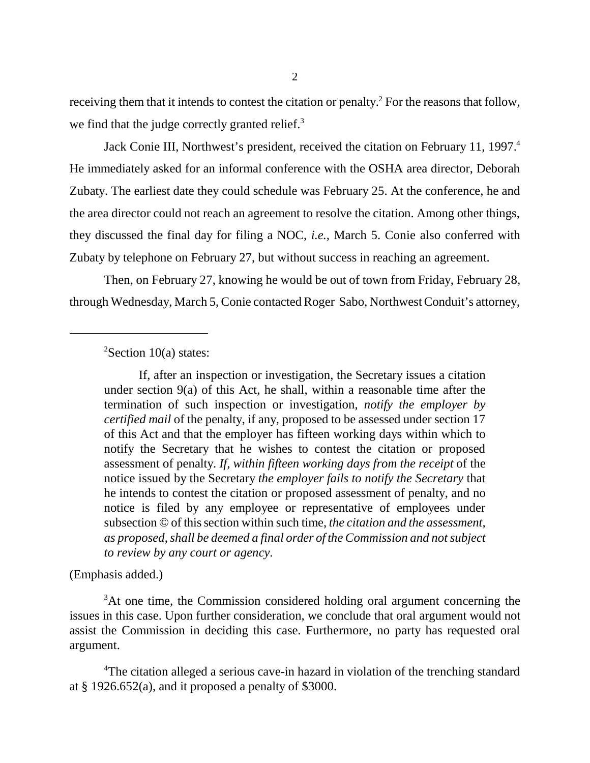receiving them that it intends to contest the citation or penalty.<sup>2</sup> For the reasons that follow, we find that the judge correctly granted relief.<sup>3</sup>

Jack Conie III, Northwest's president, received the citation on February 11, 1997.<sup>4</sup> He immediately asked for an informal conference with the OSHA area director, Deborah Zubaty. The earliest date they could schedule was February 25. At the conference, he and the area director could not reach an agreement to resolve the citation. Among other things, they discussed the final day for filing a NOC, *i.e.,* March 5. Conie also conferred with Zubaty by telephone on February 27, but without success in reaching an agreement.

Then, on February 27, knowing he would be out of town from Friday, February 28, through Wednesday, March 5, Conie contacted Roger Sabo, Northwest Conduit's attorney,

 $2$ Section 10(a) states:

If, after an inspection or investigation, the Secretary issues a citation under section 9(a) of this Act, he shall, within a reasonable time after the termination of such inspection or investigation, *notify the employer by certified mail* of the penalty, if any, proposed to be assessed under section 17 of this Act and that the employer has fifteen working days within which to notify the Secretary that he wishes to contest the citation or proposed assessment of penalty. *If, within fifteen working days from the receipt* of the notice issued by the Secretary *the employer fails to notify the Secretary* that he intends to contest the citation or proposed assessment of penalty, and no notice is filed by any employee or representative of employees under subsection © of this section within such time, *the citation and the assessment, as proposed, shall be deemed a final order of the Commission and not subject to review by any court or agency*.

(Emphasis added.)

<sup>3</sup>At one time, the Commission considered holding oral argument concerning the issues in this case. Upon further consideration, we conclude that oral argument would not assist the Commission in deciding this case. Furthermore, no party has requested oral argument.

<sup>4</sup>The citation alleged a serious cave-in hazard in violation of the trenching standard at  $\S$  1926.652(a), and it proposed a penalty of \$3000.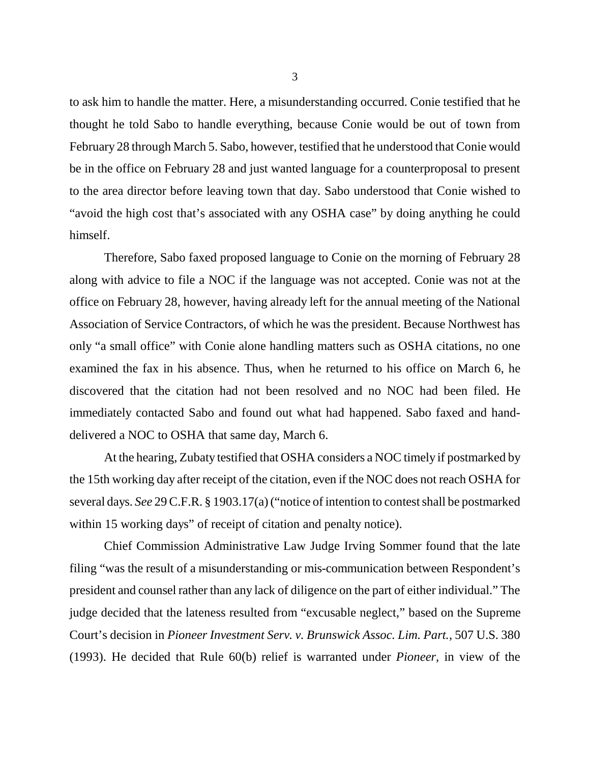to ask him to handle the matter. Here, a misunderstanding occurred. Conie testified that he thought he told Sabo to handle everything, because Conie would be out of town from February 28 through March 5. Sabo, however, testified that he understood that Conie would be in the office on February 28 and just wanted language for a counterproposal to present to the area director before leaving town that day. Sabo understood that Conie wished to "avoid the high cost that's associated with any OSHA case" by doing anything he could himself.

Therefore, Sabo faxed proposed language to Conie on the morning of February 28 along with advice to file a NOC if the language was not accepted. Conie was not at the office on February 28, however, having already left for the annual meeting of the National Association of Service Contractors, of which he was the president. Because Northwest has only "a small office" with Conie alone handling matters such as OSHA citations, no one examined the fax in his absence. Thus, when he returned to his office on March 6, he discovered that the citation had not been resolved and no NOC had been filed. He immediately contacted Sabo and found out what had happened. Sabo faxed and handdelivered a NOC to OSHA that same day, March 6.

At the hearing, Zubaty testified that OSHA considers a NOC timely if postmarked by the 15th working day after receipt of the citation, even if the NOC does not reach OSHA for several days. *See* 29 C.F.R. § 1903.17(a) ("notice of intention to contest shall be postmarked within 15 working days" of receipt of citation and penalty notice).

Chief Commission Administrative Law Judge Irving Sommer found that the late filing "was the result of a misunderstanding or mis-communication between Respondent's president and counsel rather than any lack of diligence on the part of either individual." The judge decided that the lateness resulted from "excusable neglect," based on the Supreme Court's decision in *Pioneer Investment Serv. v. Brunswick Assoc. Lim. Part.*, 507 U.S. 380 (1993). He decided that Rule 60(b) relief is warranted under *Pioneer,* in view of the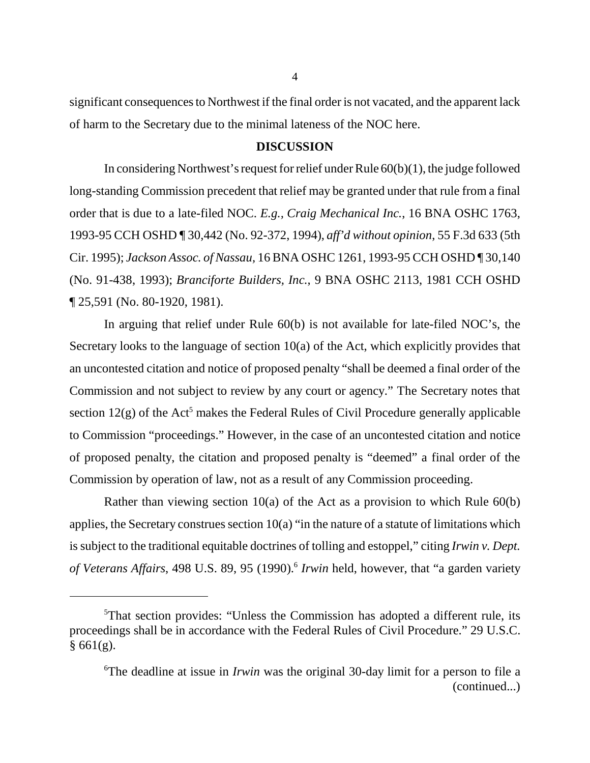significant consequences to Northwest if the final order is not vacated, and the apparent lack of harm to the Secretary due to the minimal lateness of the NOC here.

#### **DISCUSSION**

In considering Northwest's request for relief under Rule 60(b)(1), the judge followed long-standing Commission precedent that relief may be granted under that rule from a final order that is due to a late-filed NOC. *E.g., Craig Mechanical Inc.*, 16 BNA OSHC 1763, 1993-95 CCH OSHD ¶ 30,442 (No. 92-372, 1994), *aff'd without opinion*, 55 F.3d 633 (5th Cir. 1995); *Jackson Assoc. of Nassau,* 16 BNA OSHC 1261, 1993-95 CCH OSHD ¶ 30,140 (No. 91-438, 1993); *Branciforte Builders, Inc.*, 9 BNA OSHC 2113, 1981 CCH OSHD ¶ 25,591 (No. 80-1920, 1981).

In arguing that relief under Rule 60(b) is not available for late-filed NOC's, the Secretary looks to the language of section 10(a) of the Act, which explicitly provides that an uncontested citation and notice of proposed penalty "shall be deemed a final order of the Commission and not subject to review by any court or agency." The Secretary notes that section  $12(g)$  of the Act<sup>5</sup> makes the Federal Rules of Civil Procedure generally applicable to Commission "proceedings." However, in the case of an uncontested citation and notice of proposed penalty, the citation and proposed penalty is "deemed" a final order of the Commission by operation of law, not as a result of any Commission proceeding.

Rather than viewing section 10(a) of the Act as a provision to which Rule 60(b) applies, the Secretary construes section  $10(a)$  "in the nature of a statute of limitations which is subject to the traditional equitable doctrines of tolling and estoppel," citing *Irwin v. Dept. of Veterans Affairs*, 498 U.S. 89, 95 (1990).<sup>6</sup> *Irwin* held, however, that "a garden variety

<sup>&</sup>lt;sup>5</sup>That section provides: "Unless the Commission has adopted a different rule, its proceedings shall be in accordance with the Federal Rules of Civil Procedure." 29 U.S.C.  $§ 661(g).$ 

<sup>6</sup> The deadline at issue in *Irwin* was the original 30-day limit for a person to file a (continued...)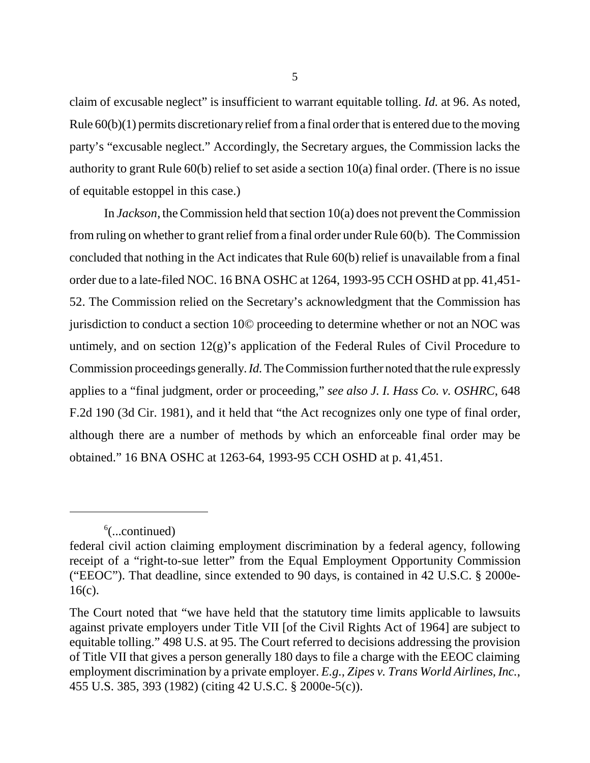claim of excusable neglect" is insufficient to warrant equitable tolling. *Id.* at 96. As noted, Rule  $60(b)(1)$  permits discretionary relief from a final order that is entered due to the moving party's "excusable neglect." Accordingly, the Secretary argues, the Commission lacks the authority to grant Rule 60(b) relief to set aside a section 10(a) final order. (There is no issue of equitable estoppel in this case.)

In *Jackson*, the Commission held that section 10(a) does not prevent the Commission from ruling on whether to grant relief from a final order under Rule 60(b). The Commission concluded that nothing in the Act indicates that Rule 60(b) relief is unavailable from a final order due to a late-filed NOC. 16 BNA OSHC at 1264, 1993-95 CCH OSHD at pp. 41,451- 52. The Commission relied on the Secretary's acknowledgment that the Commission has jurisdiction to conduct a section 10© proceeding to determine whether or not an NOC was untimely, and on section  $12(g)$ 's application of the Federal Rules of Civil Procedure to Commission proceedings generally. *Id.* The Commission further noted that the rule expressly applies to a "final judgment, order or proceeding," *see also J. I. Hass Co. v. OSHRC*, 648 F.2d 190 (3d Cir. 1981), and it held that "the Act recognizes only one type of final order, although there are a number of methods by which an enforceable final order may be obtained." 16 BNA OSHC at 1263-64, 1993-95 CCH OSHD at p. 41,451.

 $6$ (...continued)

federal civil action claiming employment discrimination by a federal agency, following receipt of a "right-to-sue letter" from the Equal Employment Opportunity Commission ("EEOC"). That deadline, since extended to 90 days, is contained in 42 U.S.C. § 2000e-16(c).

The Court noted that "we have held that the statutory time limits applicable to lawsuits against private employers under Title VII [of the Civil Rights Act of 1964] are subject to equitable tolling." 498 U.S. at 95. The Court referred to decisions addressing the provision of Title VII that gives a person generally 180 days to file a charge with the EEOC claiming employment discrimination by a private employer. *E.g., Zipes v. Trans World Airlines, Inc.*, 455 U.S. 385, 393 (1982) (citing 42 U.S.C. § 2000e-5(c)).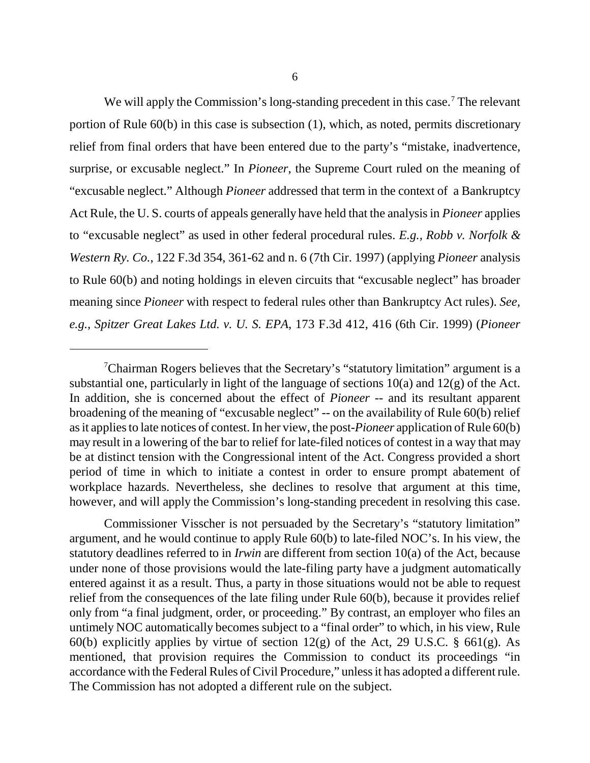6

We will apply the Commission's long-standing precedent in this case.<sup>7</sup> The relevant portion of Rule 60(b) in this case is subsection (1), which, as noted, permits discretionary relief from final orders that have been entered due to the party's "mistake, inadvertence, surprise, or excusable neglect." In *Pioneer*, the Supreme Court ruled on the meaning of "excusable neglect." Although *Pioneer* addressed that term in the context of a Bankruptcy Act Rule, the U. S. courts of appeals generally have held that the analysis in *Pioneer* applies to "excusable neglect" as used in other federal procedural rules. *E.g., Robb v. Norfolk & Western Ry. Co.*, 122 F.3d 354, 361-62 and n. 6 (7th Cir. 1997) (applying *Pioneer* analysis to Rule 60(b) and noting holdings in eleven circuits that "excusable neglect" has broader meaning since *Pioneer* with respect to federal rules other than Bankruptcy Act rules). *See, e.g., Spitzer Great Lakes Ltd. v. U. S. EPA*, 173 F.3d 412, 416 (6th Cir. 1999) (*Pioneer*

Commissioner Visscher is not persuaded by the Secretary's "statutory limitation" argument, and he would continue to apply Rule 60(b) to late-filed NOC's. In his view, the statutory deadlines referred to in *Irwin* are different from section 10(a) of the Act, because under none of those provisions would the late-filing party have a judgment automatically entered against it as a result. Thus, a party in those situations would not be able to request relief from the consequences of the late filing under Rule 60(b), because it provides relief only from "a final judgment, order, or proceeding." By contrast, an employer who files an untimely NOC automatically becomes subject to a "final order" to which, in his view, Rule 60(b) explicitly applies by virtue of section  $12(g)$  of the Act, 29 U.S.C. § 661(g). As mentioned, that provision requires the Commission to conduct its proceedings "in accordance with the Federal Rules of Civil Procedure," unless it has adopted a different rule. The Commission has not adopted a different rule on the subject.

<sup>&</sup>lt;sup>7</sup>Chairman Rogers believes that the Secretary's "statutory limitation" argument is a substantial one, particularly in light of the language of sections  $10(a)$  and  $12(g)$  of the Act. In addition, she is concerned about the effect of *Pioneer* -- and its resultant apparent broadening of the meaning of "excusable neglect" -- on the availability of Rule 60(b) relief as it applies to late notices of contest. In her view, the post-*Pioneer* application of Rule 60(b) may result in a lowering of the bar to relief for late-filed notices of contest in a way that may be at distinct tension with the Congressional intent of the Act. Congress provided a short period of time in which to initiate a contest in order to ensure prompt abatement of workplace hazards. Nevertheless, she declines to resolve that argument at this time, however, and will apply the Commission's long-standing precedent in resolving this case.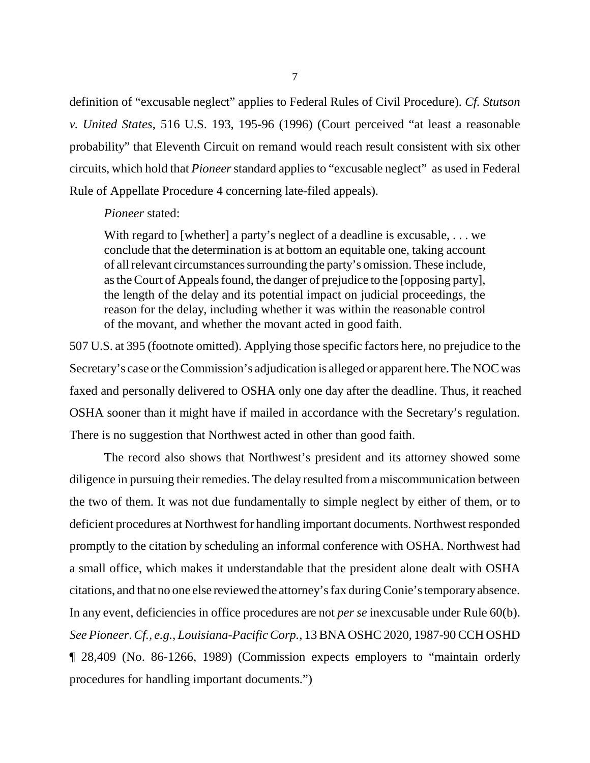definition of "excusable neglect" applies to Federal Rules of Civil Procedure). *Cf. Stutson v. United States*, 516 U.S. 193, 195-96 (1996) (Court perceived "at least a reasonable probability" that Eleventh Circuit on remand would reach result consistent with six other circuits, which hold that *Pioneer* standard applies to "excusable neglect" as used in Federal Rule of Appellate Procedure 4 concerning late-filed appeals).

#### *Pioneer* stated:

With regard to [whether] a party's neglect of a deadline is excusable, ... we conclude that the determination is at bottom an equitable one, taking account of all relevant circumstances surrounding the party's omission. These include, as the Court of Appeals found, the danger of prejudice to the [opposing party], the length of the delay and its potential impact on judicial proceedings, the reason for the delay, including whether it was within the reasonable control of the movant, and whether the movant acted in good faith.

507 U.S. at 395 (footnote omitted). Applying those specific factors here, no prejudice to the Secretary's case or the Commission's adjudication is alleged or apparent here. The NOC was faxed and personally delivered to OSHA only one day after the deadline. Thus, it reached OSHA sooner than it might have if mailed in accordance with the Secretary's regulation. There is no suggestion that Northwest acted in other than good faith.

The record also shows that Northwest's president and its attorney showed some diligence in pursuing their remedies. The delay resulted from a miscommunication between the two of them. It was not due fundamentally to simple neglect by either of them, or to deficient procedures at Northwest for handling important documents. Northwest responded promptly to the citation by scheduling an informal conference with OSHA. Northwest had a small office, which makes it understandable that the president alone dealt with OSHA citations, and that no one else reviewed the attorney's fax during Conie's temporary absence. In any event, deficiencies in office procedures are not *per se* inexcusable under Rule 60(b). *See Pioneer*. *Cf., e.g., Louisiana-Pacific Corp.*, 13 BNA OSHC 2020, 1987-90 CCH OSHD ¶ 28,409 (No. 86-1266, 1989) (Commission expects employers to "maintain orderly procedures for handling important documents.")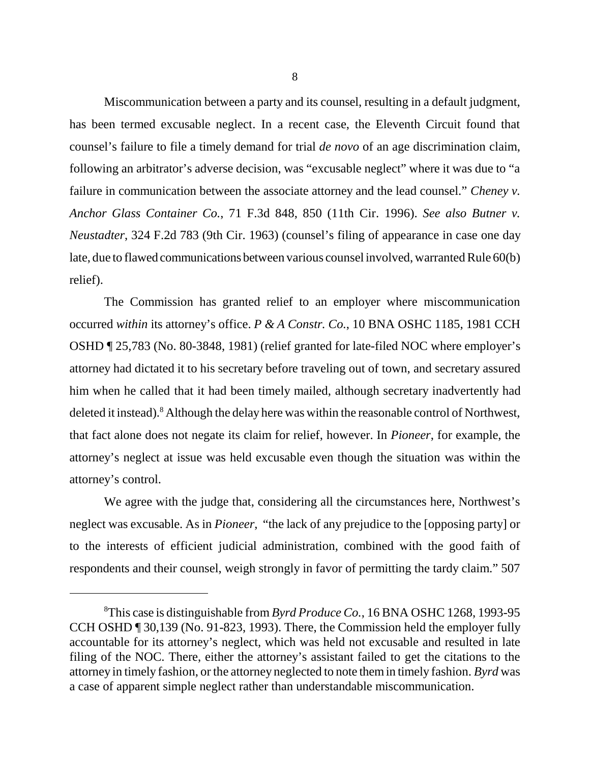Miscommunication between a party and its counsel, resulting in a default judgment, has been termed excusable neglect. In a recent case, the Eleventh Circuit found that counsel's failure to file a timely demand for trial *de novo* of an age discrimination claim, following an arbitrator's adverse decision, was "excusable neglect" where it was due to "a failure in communication between the associate attorney and the lead counsel." *Cheney v. Anchor Glass Container Co.*, 71 F.3d 848, 850 (11th Cir. 1996). *See also Butner v. Neustadter*, 324 F.2d 783 (9th Cir. 1963) (counsel's filing of appearance in case one day late, due to flawed communications between various counsel involved, warranted Rule 60(b) relief).

The Commission has granted relief to an employer where miscommunication occurred *within* its attorney's office. *P & A Constr. Co.*, 10 BNA OSHC 1185, 1981 CCH OSHD ¶ 25,783 (No. 80-3848, 1981) (relief granted for late-filed NOC where employer's attorney had dictated it to his secretary before traveling out of town, and secretary assured him when he called that it had been timely mailed, although secretary inadvertently had deleted it instead).<sup>8</sup> Although the delay here was within the reasonable control of Northwest, that fact alone does not negate its claim for relief, however. In *Pioneer*, for example, the attorney's neglect at issue was held excusable even though the situation was within the attorney's control.

We agree with the judge that, considering all the circumstances here, Northwest's neglect was excusable. As in *Pioneer*, "the lack of any prejudice to the [opposing party] or to the interests of efficient judicial administration, combined with the good faith of respondents and their counsel, weigh strongly in favor of permitting the tardy claim." 507

<sup>8</sup> This case is distinguishable from *Byrd Produce Co.*, 16 BNA OSHC 1268, 1993-95 CCH OSHD ¶ 30,139 (No. 91-823, 1993). There, the Commission held the employer fully accountable for its attorney's neglect, which was held not excusable and resulted in late filing of the NOC. There, either the attorney's assistant failed to get the citations to the attorney in timely fashion, or the attorney neglected to note them in timely fashion. *Byrd* was a case of apparent simple neglect rather than understandable miscommunication.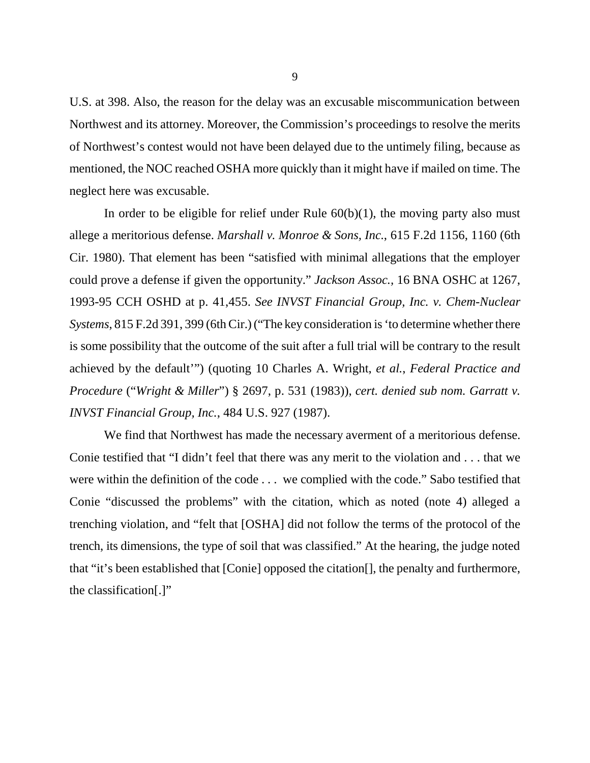U.S. at 398. Also, the reason for the delay was an excusable miscommunication between Northwest and its attorney. Moreover, the Commission's proceedings to resolve the merits of Northwest's contest would not have been delayed due to the untimely filing, because as mentioned, the NOC reached OSHA more quickly than it might have if mailed on time. The neglect here was excusable.

In order to be eligible for relief under Rule  $60(b)(1)$ , the moving party also must allege a meritorious defense. *Marshall v. Monroe & Sons, Inc.*, 615 F.2d 1156, 1160 (6th Cir. 1980). That element has been "satisfied with minimal allegations that the employer could prove a defense if given the opportunity." *Jackson Assoc.,* 16 BNA OSHC at 1267, 1993-95 CCH OSHD at p. 41,455. *See INVST Financial Group, Inc. v. Chem-Nuclear Systems*, 815 F.2d 391, 399 (6th Cir.) ("The key consideration is 'to determine whether there is some possibility that the outcome of the suit after a full trial will be contrary to the result achieved by the default'") (quoting 10 Charles A. Wright, *et al.*, *Federal Practice and Procedure* ("*Wright & Miller*") § 2697, p. 531 (1983)), *cert. denied sub nom. Garratt v. INVST Financial Group, Inc.*, 484 U.S. 927 (1987).

We find that Northwest has made the necessary averment of a meritorious defense. Conie testified that "I didn't feel that there was any merit to the violation and . . . that we were within the definition of the code . . . we complied with the code." Sabo testified that Conie "discussed the problems" with the citation, which as noted (note 4) alleged a trenching violation, and "felt that [OSHA] did not follow the terms of the protocol of the trench, its dimensions, the type of soil that was classified." At the hearing, the judge noted that "it's been established that [Conie] opposed the citation[], the penalty and furthermore, the classification[.]"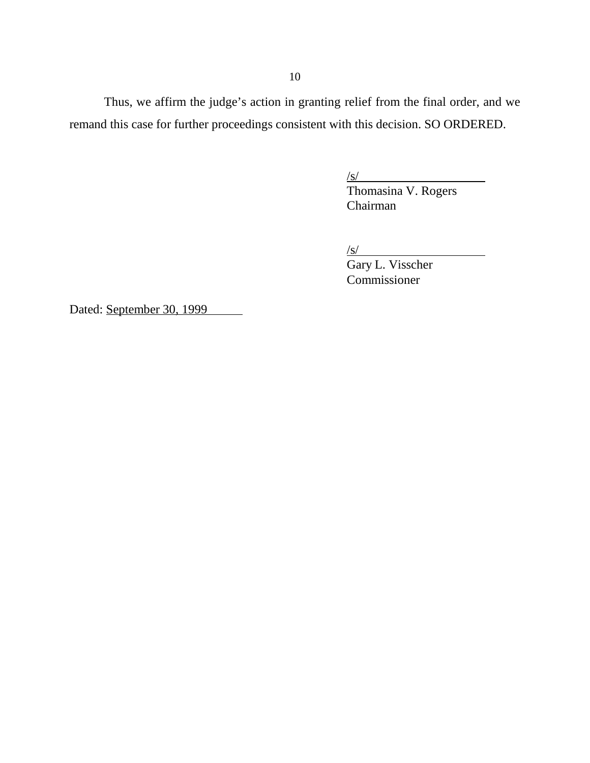Thus, we affirm the judge's action in granting relief from the final order, and we remand this case for further proceedings consistent with this decision. SO ORDERED.

 $\sqrt{s/}$ 

Thomasina V. Rogers Chairman

 $\sqrt{s}$ /

Gary L. Visscher Commissioner

Dated: September 30, 1999